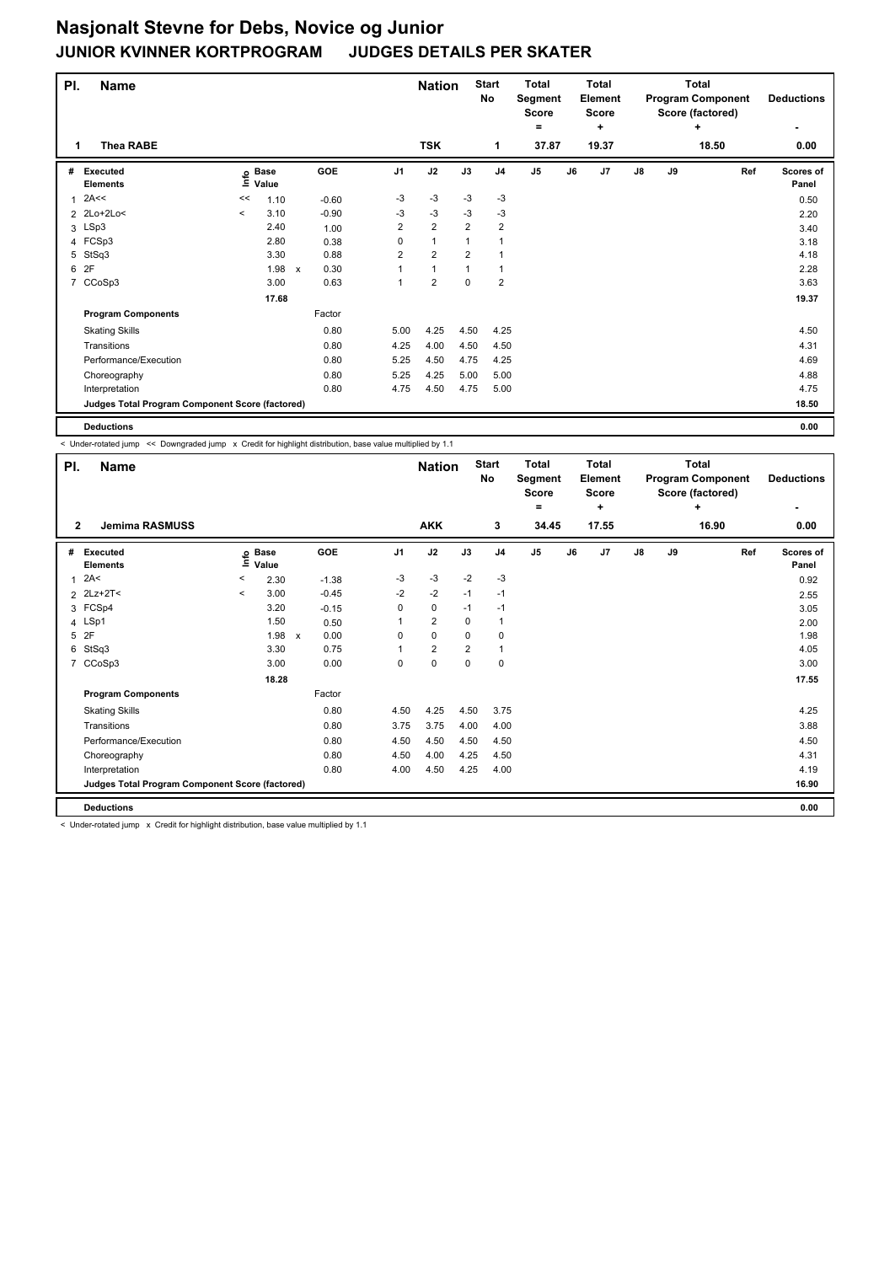| PI.            | <b>Name</b><br><b>Thea RABE</b><br>1            |         |                   |                                   |                | <b>Nation</b>  |                | <b>Start</b><br>No      | <b>Total</b><br>Segment<br><b>Score</b><br>$\equiv$ |    | Total<br>Element<br><b>Score</b><br>÷ |    |    | <b>Total</b><br><b>Program Component</b><br>Score (factored)<br>÷ | <b>Deductions</b>         |
|----------------|-------------------------------------------------|---------|-------------------|-----------------------------------|----------------|----------------|----------------|-------------------------|-----------------------------------------------------|----|---------------------------------------|----|----|-------------------------------------------------------------------|---------------------------|
|                |                                                 |         |                   |                                   |                | <b>TSK</b>     |                | 1                       | 37.87                                               |    | 19.37                                 |    |    | 18.50                                                             | 0.00                      |
| #              | <b>Executed</b><br><b>Elements</b>              |         | e Base<br>≡ Value | <b>GOE</b>                        | J <sub>1</sub> | J2             | J3             | J <sub>4</sub>          | J <sub>5</sub>                                      | J6 | J7                                    | J8 | J9 | Ref                                                               | <b>Scores of</b><br>Panel |
| 1              | 2A<<                                            | <<      | 1.10              | $-0.60$                           | -3             | -3             | -3             | $-3$                    |                                                     |    |                                       |    |    |                                                                   | 0.50                      |
|                | 2 2Lo+2Lo<                                      | $\,<\,$ | 3.10              | $-0.90$                           | -3             | $-3$           | $-3$           | $-3$                    |                                                     |    |                                       |    |    |                                                                   | 2.20                      |
|                | 3 LSp3                                          |         | 2.40              | 1.00                              | 2              | $\overline{2}$ | $\overline{2}$ | $\overline{2}$          |                                                     |    |                                       |    |    |                                                                   | 3.40                      |
|                | 4 FCSp3                                         |         | 2.80              | 0.38                              | 0              | $\mathbf{1}$   | 1              | $\mathbf{1}$            |                                                     |    |                                       |    |    |                                                                   | 3.18                      |
| 5              | StSq3                                           |         | 3.30              | 0.88                              | $\overline{2}$ | $\overline{2}$ | $\overline{2}$ | $\overline{1}$          |                                                     |    |                                       |    |    |                                                                   | 4.18                      |
| 6              | 2F                                              |         | 1.98              | 0.30<br>$\boldsymbol{\mathsf{x}}$ |                | $\mathbf{1}$   | $\mathbf{1}$   | $\mathbf{1}$            |                                                     |    |                                       |    |    |                                                                   | 2.28                      |
| $\overline{7}$ | CCoSp3                                          |         | 3.00              | 0.63                              |                | $\overline{2}$ | 0              | $\overline{\mathbf{c}}$ |                                                     |    |                                       |    |    |                                                                   | 3.63                      |
|                |                                                 |         | 17.68             |                                   |                |                |                |                         |                                                     |    |                                       |    |    |                                                                   | 19.37                     |
|                | <b>Program Components</b>                       |         |                   | Factor                            |                |                |                |                         |                                                     |    |                                       |    |    |                                                                   |                           |
|                | <b>Skating Skills</b>                           |         |                   | 0.80                              | 5.00           | 4.25           | 4.50           | 4.25                    |                                                     |    |                                       |    |    |                                                                   | 4.50                      |
|                | Transitions                                     |         |                   | 0.80                              | 4.25           | 4.00           | 4.50           | 4.50                    |                                                     |    |                                       |    |    |                                                                   | 4.31                      |
|                | Performance/Execution                           |         |                   | 0.80                              | 5.25           | 4.50           | 4.75           | 4.25                    |                                                     |    |                                       |    |    |                                                                   | 4.69                      |
|                | Choreography                                    |         |                   | 0.80                              | 5.25           | 4.25           | 5.00           | 5.00                    |                                                     |    |                                       |    |    |                                                                   | 4.88                      |
|                | Interpretation                                  |         |                   | 0.80                              | 4.75           | 4.50           | 4.75           | 5.00                    |                                                     |    |                                       |    |    |                                                                   | 4.75                      |
|                | Judges Total Program Component Score (factored) |         |                   |                                   |                |                |                |                         |                                                     |    |                                       |    |    |                                                                   | 18.50                     |
|                | <b>Deductions</b>                               |         |                   |                                   |                |                |                |                         |                                                     |    |                                       |    |    |                                                                   | 0.00                      |

< Under-rotated jump << Downgraded jump x Credit for highlight distribution, base value multiplied by 1.1

| PI.            | <b>Name</b>                                     |              |                      |                      |                | <b>Nation</b>  |                | <b>Start</b><br>No | <b>Total</b><br>Segment<br><b>Score</b><br>٠ |    | <b>Total</b><br>Element<br><b>Score</b><br>÷ |               |    | <b>Total</b><br><b>Program Component</b><br>Score (factored)<br>÷ | <b>Deductions</b>  |
|----------------|-------------------------------------------------|--------------|----------------------|----------------------|----------------|----------------|----------------|--------------------|----------------------------------------------|----|----------------------------------------------|---------------|----|-------------------------------------------------------------------|--------------------|
| $\overline{2}$ | <b>Jemima RASMUSS</b>                           |              |                      |                      |                | <b>AKK</b>     |                | 3                  | 34.45                                        |    | 17.55                                        |               |    | 16.90                                                             | 0.00               |
| #              | Executed<br><b>Elements</b>                     | lnfo         | <b>Base</b><br>Value | GOE                  | J <sub>1</sub> | J2             | J3             | J <sub>4</sub>     | J <sub>5</sub>                               | J6 | J7                                           | $\mathsf{J}8$ | J9 | Ref                                                               | Scores of<br>Panel |
| 1              | 2A<                                             | $\,<\,$      | 2.30                 | $-1.38$              | $-3$           | $-3$           | $-2$           | $-3$               |                                              |    |                                              |               |    |                                                                   | 0.92               |
|                | 2 2Lz+2T<                                       | $\checkmark$ | 3.00                 | $-0.45$              | $-2$           | $-2$           | $-1$           | $-1$               |                                              |    |                                              |               |    |                                                                   | 2.55               |
|                | 3 FCSp4                                         |              | 3.20                 | $-0.15$              | 0              | $\mathbf 0$    | $-1$           | $-1$               |                                              |    |                                              |               |    |                                                                   | 3.05               |
|                | 4 LSp1                                          |              | 1.50                 | 0.50                 |                | $\overline{2}$ | $\mathbf 0$    | $\mathbf{1}$       |                                              |    |                                              |               |    |                                                                   | 2.00               |
| 5              | 2F                                              |              | 1.98                 | 0.00<br>$\mathsf{x}$ | 0              | $\mathbf 0$    | 0              | 0                  |                                              |    |                                              |               |    |                                                                   | 1.98               |
| 6              | StSq3                                           |              | 3.30                 | 0.75                 |                | $\overline{2}$ | $\overline{2}$ | $\mathbf{1}$       |                                              |    |                                              |               |    |                                                                   | 4.05               |
|                | 7 CCoSp3                                        |              | 3.00                 | 0.00                 | 0              | $\pmb{0}$      | 0              | 0                  |                                              |    |                                              |               |    |                                                                   | 3.00               |
|                |                                                 |              | 18.28                |                      |                |                |                |                    |                                              |    |                                              |               |    |                                                                   | 17.55              |
|                | <b>Program Components</b>                       |              |                      | Factor               |                |                |                |                    |                                              |    |                                              |               |    |                                                                   |                    |
|                | <b>Skating Skills</b>                           |              |                      | 0.80                 | 4.50           | 4.25           | 4.50           | 3.75               |                                              |    |                                              |               |    |                                                                   | 4.25               |
|                | Transitions                                     |              |                      | 0.80                 | 3.75           | 3.75           | 4.00           | 4.00               |                                              |    |                                              |               |    |                                                                   | 3.88               |
|                | Performance/Execution                           |              |                      | 0.80                 | 4.50           | 4.50           | 4.50           | 4.50               |                                              |    |                                              |               |    |                                                                   | 4.50               |
|                | Choreography                                    |              |                      | 0.80                 | 4.50           | 4.00           | 4.25           | 4.50               |                                              |    |                                              |               |    |                                                                   | 4.31               |
|                | Interpretation                                  |              |                      | 0.80                 | 4.00           | 4.50           | 4.25           | 4.00               |                                              |    |                                              |               |    |                                                                   | 4.19               |
|                | Judges Total Program Component Score (factored) |              |                      |                      |                |                |                |                    |                                              |    |                                              |               |    |                                                                   | 16.90              |
|                | <b>Deductions</b>                               |              |                      |                      |                |                |                |                    |                                              |    |                                              |               |    |                                                                   | 0.00               |

< Under-rotated jump x Credit for highlight distribution, base value multiplied by 1.1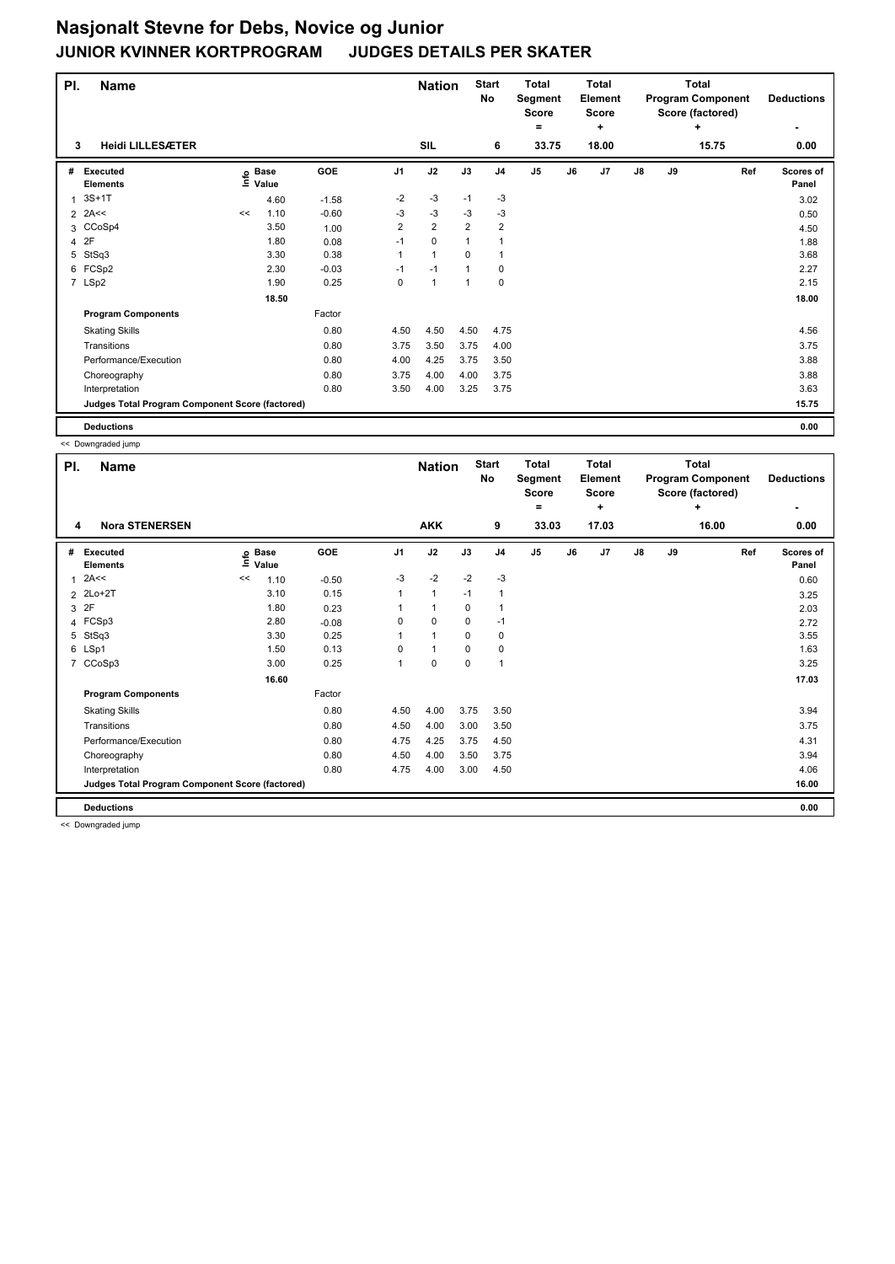| PI. | <b>Name</b>                                     |    |                   |         | <b>Nation</b>  |                | <b>Start</b><br><b>No</b> | <b>Total</b><br>Segment<br><b>Score</b><br>= |                | <b>Total</b><br><b>Element</b><br><b>Score</b><br>٠ |                |    | Total<br><b>Program Component</b><br>Score (factored)<br>٠ | <b>Deductions</b> |                           |
|-----|-------------------------------------------------|----|-------------------|---------|----------------|----------------|---------------------------|----------------------------------------------|----------------|-----------------------------------------------------|----------------|----|------------------------------------------------------------|-------------------|---------------------------|
| 3   | <b>Heidi LILLESÆTER</b>                         |    |                   |         |                | SIL            |                           | 6                                            | 33.75          |                                                     | 18.00          |    |                                                            | 15.75             | 0.00                      |
| #   | Executed<br><b>Elements</b>                     |    | e Base<br>⊑ Value | GOE     | J1             | J2             | J3                        | J <sub>4</sub>                               | J <sub>5</sub> | J6                                                  | J <sub>7</sub> | J8 | J9                                                         | Ref               | <b>Scores of</b><br>Panel |
| 1   | $3S+1T$                                         |    | 4.60              | $-1.58$ | $-2$           | $-3$           | $-1$                      | $-3$                                         |                |                                                     |                |    |                                                            |                   | 3.02                      |
|     | $2$ 2A<<                                        | << | 1.10              | $-0.60$ | -3             | $-3$           | -3                        | -3                                           |                |                                                     |                |    |                                                            |                   | 0.50                      |
|     | 3 CCoSp4                                        |    | 3.50              | 1.00    | $\overline{2}$ | $\overline{2}$ | $\overline{2}$            | $\overline{\mathbf{c}}$                      |                |                                                     |                |    |                                                            |                   | 4.50                      |
|     | 4 2F                                            |    | 1.80              | 0.08    | $-1$           | $\mathbf 0$    | $\mathbf{1}$              | $\mathbf{1}$                                 |                |                                                     |                |    |                                                            |                   | 1.88                      |
| 5   | StSq3                                           |    | 3.30              | 0.38    | 1              | $\mathbf{1}$   | 0                         | 1                                            |                |                                                     |                |    |                                                            |                   | 3.68                      |
|     | 6 FCSp2                                         |    | 2.30              | $-0.03$ | $-1$           | $-1$           | $\mathbf{1}$              | 0                                            |                |                                                     |                |    |                                                            |                   | 2.27                      |
|     | 7 LSp2                                          |    | 1.90              | 0.25    | 0              | $\mathbf{1}$   | 1                         | 0                                            |                |                                                     |                |    |                                                            |                   | 2.15                      |
|     |                                                 |    | 18.50             |         |                |                |                           |                                              |                |                                                     |                |    |                                                            |                   | 18.00                     |
|     | <b>Program Components</b>                       |    |                   | Factor  |                |                |                           |                                              |                |                                                     |                |    |                                                            |                   |                           |
|     | <b>Skating Skills</b>                           |    |                   | 0.80    | 4.50           | 4.50           | 4.50                      | 4.75                                         |                |                                                     |                |    |                                                            |                   | 4.56                      |
|     | Transitions                                     |    |                   | 0.80    | 3.75           | 3.50           | 3.75                      | 4.00                                         |                |                                                     |                |    |                                                            |                   | 3.75                      |
|     | Performance/Execution                           |    |                   | 0.80    | 4.00           | 4.25           | 3.75                      | 3.50                                         |                |                                                     |                |    |                                                            |                   | 3.88                      |
|     | Choreography                                    |    |                   | 0.80    | 3.75           | 4.00           | 4.00                      | 3.75                                         |                |                                                     |                |    |                                                            |                   | 3.88                      |
|     | Interpretation                                  |    |                   | 0.80    | 3.50           | 4.00           | 3.25                      | 3.75                                         |                |                                                     |                |    |                                                            |                   | 3.63                      |
|     | Judges Total Program Component Score (factored) |    |                   |         |                |                |                           |                                              |                |                                                     |                |    |                                                            |                   | 15.75                     |
|     | <b>Deductions</b>                               |    |                   |         |                |                |                           |                                              |                |                                                     |                |    |                                                            |                   | 0.00                      |

<< Downgraded jump

| PI. | Name                                            |    |                            |         |                | <b>Nation</b>        |             | <b>Start</b><br>No | <b>Total</b><br>Segment<br><b>Score</b><br>$=$ |    | Total<br><b>Element</b><br><b>Score</b><br>٠ |    |    | <b>Total</b><br><b>Program Component</b><br>Score (factored)<br>÷ | <b>Deductions</b>  |
|-----|-------------------------------------------------|----|----------------------------|---------|----------------|----------------------|-------------|--------------------|------------------------------------------------|----|----------------------------------------------|----|----|-------------------------------------------------------------------|--------------------|
| 4   | <b>Nora STENERSEN</b>                           |    |                            |         |                | <b>AKK</b>           |             | 9                  | 33.03                                          |    | 17.03                                        |    |    | 16.00                                                             | 0.00               |
| #   | Executed<br><b>Elements</b>                     |    | e Base<br>E Value<br>Value | GOE     | J <sub>1</sub> | J2                   | J3          | J <sub>4</sub>     | J <sub>5</sub>                                 | J6 | J7                                           | J8 | J9 | Ref                                                               | Scores of<br>Panel |
| 1   | 2A<<                                            | << | 1.10                       | $-0.50$ | $-3$           | $-2$                 | $-2$        | $-3$               |                                                |    |                                              |    |    |                                                                   | 0.60               |
|     | 2 2Lo+2T                                        |    | 3.10                       | 0.15    |                | $\mathbf{1}$         | $-1$        | 1                  |                                                |    |                                              |    |    |                                                                   | 3.25               |
|     | 3 2F                                            |    | 1.80                       | 0.23    |                | $\mathbf{1}$         | 0           | 1                  |                                                |    |                                              |    |    |                                                                   | 2.03               |
|     | 4 FCSp3                                         |    | 2.80                       | $-0.08$ | 0              | 0                    | 0           | $-1$               |                                                |    |                                              |    |    |                                                                   | 2.72               |
| 5   | StSq3                                           |    | 3.30                       | 0.25    |                | $\blacktriangleleft$ | $\Omega$    | 0                  |                                                |    |                                              |    |    |                                                                   | 3.55               |
|     | 6 LSp1                                          |    | 1.50                       | 0.13    | 0              | $\mathbf{1}$         | 0           | 0                  |                                                |    |                                              |    |    |                                                                   | 1.63               |
|     | 7 CCoSp3                                        |    | 3.00                       | 0.25    | 1              | $\mathbf 0$          | $\mathbf 0$ | 1                  |                                                |    |                                              |    |    |                                                                   | 3.25               |
|     |                                                 |    | 16.60                      |         |                |                      |             |                    |                                                |    |                                              |    |    |                                                                   | 17.03              |
|     | <b>Program Components</b>                       |    |                            | Factor  |                |                      |             |                    |                                                |    |                                              |    |    |                                                                   |                    |
|     | <b>Skating Skills</b>                           |    |                            | 0.80    | 4.50           | 4.00                 | 3.75        | 3.50               |                                                |    |                                              |    |    |                                                                   | 3.94               |
|     | Transitions                                     |    |                            | 0.80    | 4.50           | 4.00                 | 3.00        | 3.50               |                                                |    |                                              |    |    |                                                                   | 3.75               |
|     | Performance/Execution                           |    |                            | 0.80    | 4.75           | 4.25                 | 3.75        | 4.50               |                                                |    |                                              |    |    |                                                                   | 4.31               |
|     | Choreography                                    |    |                            | 0.80    | 4.50           | 4.00                 | 3.50        | 3.75               |                                                |    |                                              |    |    |                                                                   | 3.94               |
|     | Interpretation                                  |    |                            | 0.80    | 4.75           | 4.00                 | 3.00        | 4.50               |                                                |    |                                              |    |    |                                                                   | 4.06               |
|     | Judges Total Program Component Score (factored) |    |                            |         |                |                      |             |                    |                                                |    |                                              |    |    |                                                                   | 16.00              |
|     | <b>Deductions</b>                               |    |                            |         |                |                      |             |                    |                                                |    |                                              |    |    |                                                                   | 0.00               |

<< Downgraded jump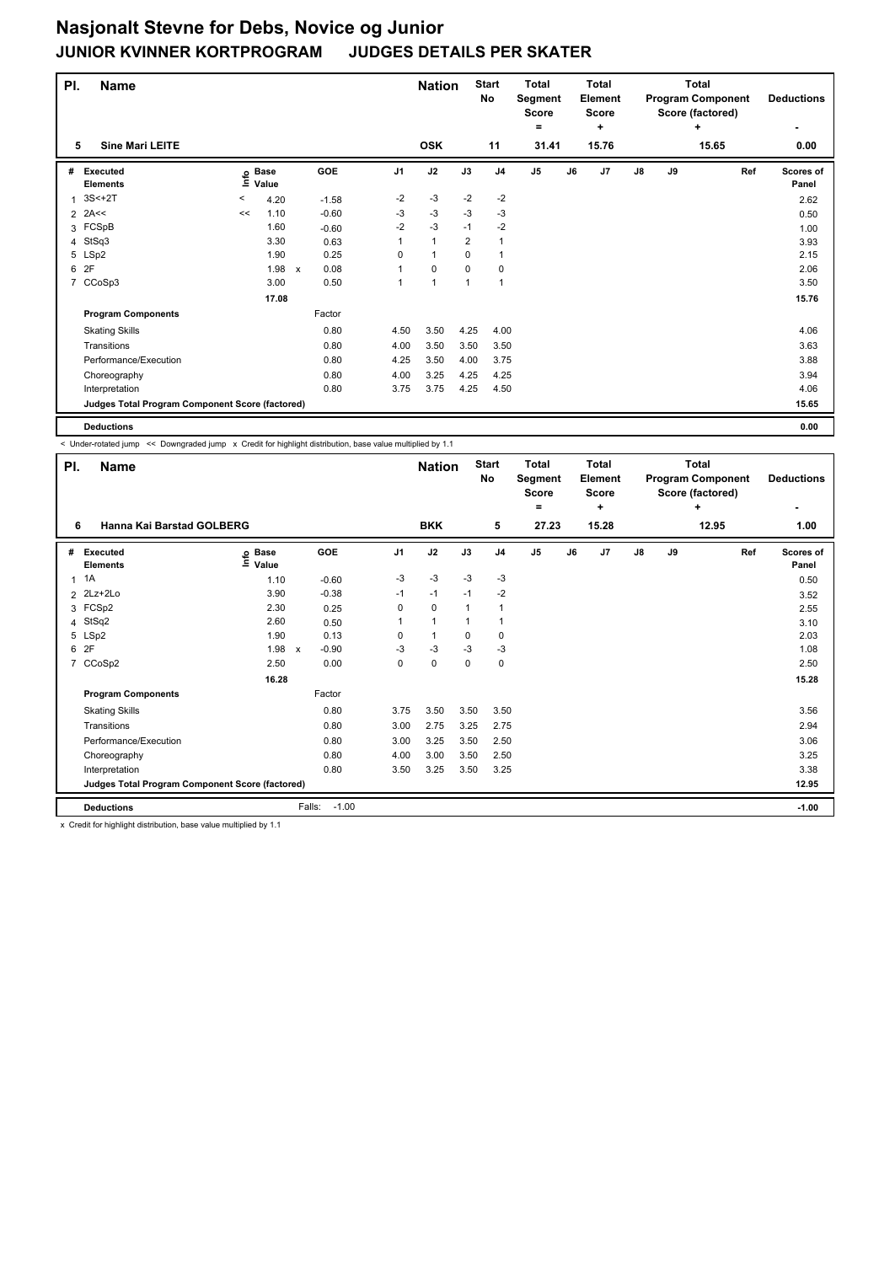| PI.            | <b>Name</b>                                     |         |                            |                                   |          | <b>Nation</b>        |                | <b>Start</b><br>No | <b>Total</b><br>Segment<br><b>Score</b><br>٠ |    | Total<br>Element<br><b>Score</b><br>٠ |               |    | Total<br><b>Program Component</b><br>Score (factored)<br>÷ | <b>Deductions</b>  |
|----------------|-------------------------------------------------|---------|----------------------------|-----------------------------------|----------|----------------------|----------------|--------------------|----------------------------------------------|----|---------------------------------------|---------------|----|------------------------------------------------------------|--------------------|
| 5              | <b>Sine Mari LEITE</b>                          |         |                            |                                   |          | <b>OSK</b>           |                | 11                 | 31.41                                        |    | 15.76                                 |               |    | 15.65                                                      | 0.00               |
| #              | Executed<br><b>Elements</b>                     |         | e Base<br>⊑ Value<br>Value | <b>GOE</b>                        | J1       | J2                   | J3             | J <sub>4</sub>     | J <sub>5</sub>                               | J6 | J7                                    | $\mathsf{J}8$ | J9 | Ref                                                        | Scores of<br>Panel |
| 1              | $3S<+2T$                                        | $\,<\,$ | 4.20                       | $-1.58$                           | $-2$     | -3                   | $-2$           | $-2$               |                                              |    |                                       |               |    |                                                            | 2.62               |
|                | $2$ 2A<<                                        | <<      | 1.10                       | $-0.60$                           | -3       | -3                   | $-3$           | $-3$               |                                              |    |                                       |               |    |                                                            | 0.50               |
|                | 3 FCSpB                                         |         | 1.60                       | $-0.60$                           | $-2$     | $-3$                 | $-1$           | $-2$               |                                              |    |                                       |               |    |                                                            | 1.00               |
|                | 4 StSq3                                         |         | 3.30                       | 0.63                              |          | $\mathbf{1}$         | $\overline{2}$ | $\mathbf{1}$       |                                              |    |                                       |               |    |                                                            | 3.93               |
|                | 5 LSp2                                          |         | 1.90                       | 0.25                              | $\Omega$ | $\blacktriangleleft$ | $\Omega$       | 1                  |                                              |    |                                       |               |    |                                                            | 2.15               |
|                | 6 2F                                            |         | 1.98                       | 0.08<br>$\boldsymbol{\mathsf{x}}$ |          | $\mathbf 0$          | 0              | 0                  |                                              |    |                                       |               |    |                                                            | 2.06               |
| $\overline{7}$ | CCoSp3                                          |         | 3.00                       | 0.50                              | 1        | $\mathbf{1}$         | $\mathbf{1}$   | $\mathbf{1}$       |                                              |    |                                       |               |    |                                                            | 3.50               |
|                |                                                 |         | 17.08                      |                                   |          |                      |                |                    |                                              |    |                                       |               |    |                                                            | 15.76              |
|                | <b>Program Components</b>                       |         |                            | Factor                            |          |                      |                |                    |                                              |    |                                       |               |    |                                                            |                    |
|                | <b>Skating Skills</b>                           |         |                            | 0.80                              | 4.50     | 3.50                 | 4.25           | 4.00               |                                              |    |                                       |               |    |                                                            | 4.06               |
|                | Transitions                                     |         |                            | 0.80                              | 4.00     | 3.50                 | 3.50           | 3.50               |                                              |    |                                       |               |    |                                                            | 3.63               |
|                | Performance/Execution                           |         |                            | 0.80                              | 4.25     | 3.50                 | 4.00           | 3.75               |                                              |    |                                       |               |    |                                                            | 3.88               |
|                | Choreography                                    |         |                            | 0.80                              | 4.00     | 3.25                 | 4.25           | 4.25               |                                              |    |                                       |               |    |                                                            | 3.94               |
|                | Interpretation                                  |         |                            | 0.80                              | 3.75     | 3.75                 | 4.25           | 4.50               |                                              |    |                                       |               |    |                                                            | 4.06               |
|                | Judges Total Program Component Score (factored) |         |                            |                                   |          |                      |                |                    |                                              |    |                                       |               |    |                                                            | 15.65              |
|                | <b>Deductions</b>                               |         |                            |                                   |          |                      |                |                    |                                              |    |                                       |               |    |                                                            | 0.00               |

< Under-rotated jump << Downgraded jump x Credit for highlight distribution, base value multiplied by 1.1

| PI.            | <b>Name</b><br>Hanna Kai Barstad GOLBERG        |                                  |                           |         |                | <b>Nation</b> |      | <b>Start</b><br><b>No</b> | <b>Total</b><br>Segment<br><b>Score</b><br>= |    | Total<br>Element<br><b>Score</b><br>٠ |               |    | Total<br><b>Program Component</b><br>Score (factored)<br>٠ | <b>Deductions</b>  |
|----------------|-------------------------------------------------|----------------------------------|---------------------------|---------|----------------|---------------|------|---------------------------|----------------------------------------------|----|---------------------------------------|---------------|----|------------------------------------------------------------|--------------------|
| 6              |                                                 |                                  |                           |         |                | <b>BKK</b>    |      | 5                         | 27.23                                        |    | 15.28                                 |               |    | 12.95                                                      | 1.00               |
| #              | <b>Executed</b><br><b>Elements</b>              | <b>Base</b><br>e Base<br>⊑ Value |                           | GOE     | J <sub>1</sub> | J2            | J3   | J <sub>4</sub>            | J <sub>5</sub>                               | J6 | J7                                    | $\mathsf{J}8$ | J9 | Ref                                                        | Scores of<br>Panel |
| $\mathbf{1}$   | 1A                                              | 1.10                             |                           | $-0.60$ | -3             | $-3$          | $-3$ | $-3$                      |                                              |    |                                       |               |    |                                                            | 0.50               |
|                | 2 2Lz+2Lo                                       | 3.90                             |                           | $-0.38$ | $-1$           | $-1$          | $-1$ | $-2$                      |                                              |    |                                       |               |    |                                                            | 3.52               |
| 3              | FCSp2                                           | 2.30                             |                           | 0.25    | 0              | $\mathbf 0$   | 1    | $\overline{1}$            |                                              |    |                                       |               |    |                                                            | 2.55               |
|                | 4 StSq2                                         | 2.60                             |                           | 0.50    | 1              | $\mathbf{1}$  | 1    | -1                        |                                              |    |                                       |               |    |                                                            | 3.10               |
| 5              | LSp2                                            | 1.90                             |                           | 0.13    | 0              | $\mathbf{1}$  | 0    | 0                         |                                              |    |                                       |               |    |                                                            | 2.03               |
| 6              | 2F                                              | 1.98                             | $\boldsymbol{\mathsf{x}}$ | $-0.90$ | -3             | $-3$          | $-3$ | -3                        |                                              |    |                                       |               |    |                                                            | 1.08               |
| $\overline{7}$ | CCoSp2                                          | 2.50                             |                           | 0.00    | 0              | 0             | 0    | 0                         |                                              |    |                                       |               |    |                                                            | 2.50               |
|                |                                                 | 16.28                            |                           |         |                |               |      |                           |                                              |    |                                       |               |    |                                                            | 15.28              |
|                | <b>Program Components</b>                       |                                  |                           | Factor  |                |               |      |                           |                                              |    |                                       |               |    |                                                            |                    |
|                | <b>Skating Skills</b>                           |                                  |                           | 0.80    | 3.75           | 3.50          | 3.50 | 3.50                      |                                              |    |                                       |               |    |                                                            | 3.56               |
|                | Transitions                                     |                                  |                           | 0.80    | 3.00           | 2.75          | 3.25 | 2.75                      |                                              |    |                                       |               |    |                                                            | 2.94               |
|                | Performance/Execution                           |                                  |                           | 0.80    | 3.00           | 3.25          | 3.50 | 2.50                      |                                              |    |                                       |               |    |                                                            | 3.06               |
|                | Choreography                                    |                                  |                           | 0.80    | 4.00           | 3.00          | 3.50 | 2.50                      |                                              |    |                                       |               |    |                                                            | 3.25               |
|                | Interpretation                                  |                                  |                           | 0.80    | 3.50           | 3.25          | 3.50 | 3.25                      |                                              |    |                                       |               |    |                                                            | 3.38               |
|                | Judges Total Program Component Score (factored) |                                  |                           |         |                |               |      |                           |                                              |    |                                       |               |    |                                                            | 12.95              |
|                | <b>Deductions</b>                               |                                  | Falls:                    | $-1.00$ |                |               |      |                           |                                              |    |                                       |               |    |                                                            | $-1.00$            |

x Credit for highlight distribution, base value multiplied by 1.1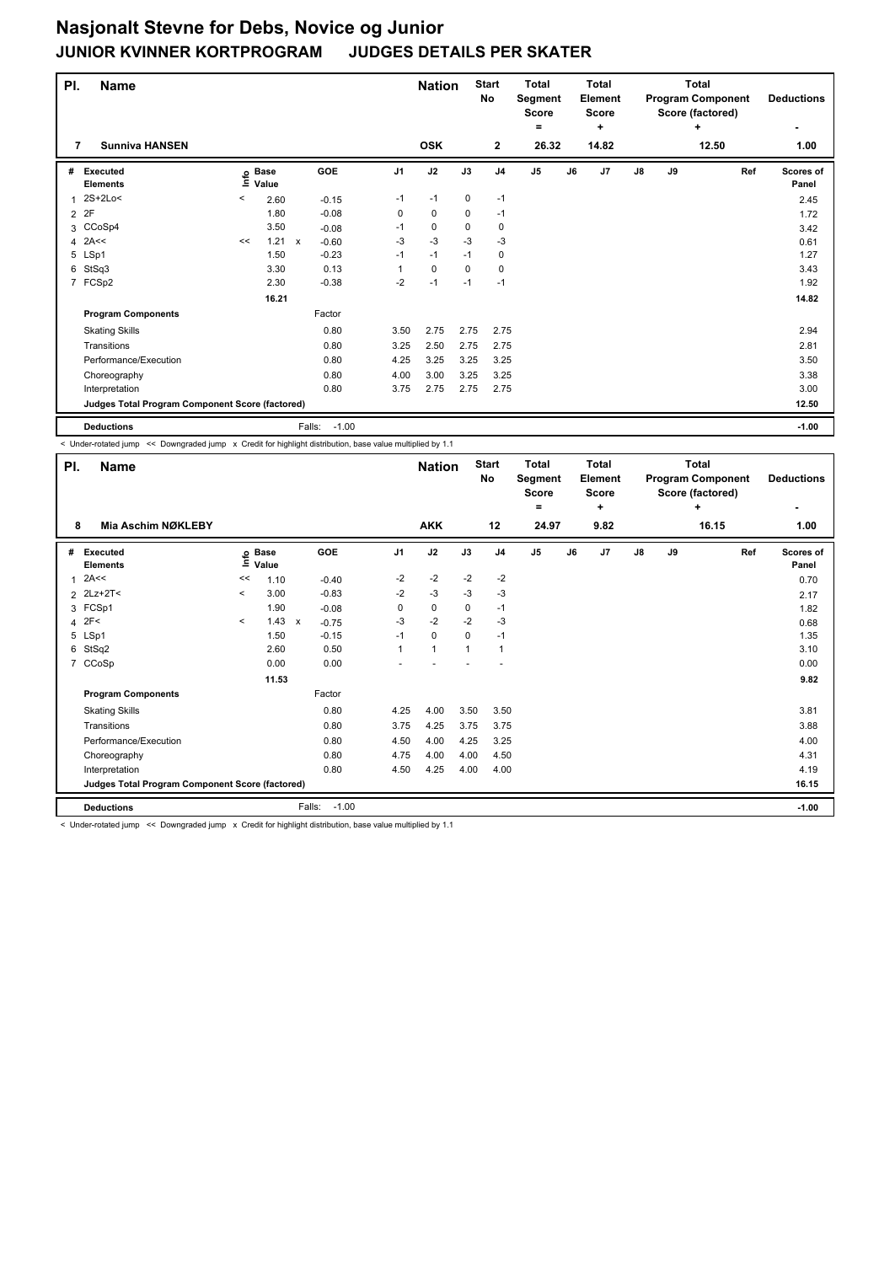# **Nasjonalt Stevne for Debs, Novice og Junior JUDGES DETAILS PER SKATER**

| PI. | <b>Name</b>                                     |         |                            |                         |                | <b>Nation</b> |             | <b>Start</b><br>No | <b>Total</b><br>Segment<br><b>Score</b><br>$=$ |    | <b>Total</b><br>Element<br>Score<br>÷ |    |    | <b>Total</b><br><b>Program Component</b><br>Score (factored)<br>٠ | <b>Deductions</b><br>٠ |
|-----|-------------------------------------------------|---------|----------------------------|-------------------------|----------------|---------------|-------------|--------------------|------------------------------------------------|----|---------------------------------------|----|----|-------------------------------------------------------------------|------------------------|
| 7   | <b>Sunniva HANSEN</b>                           |         |                            |                         |                | <b>OSK</b>    |             | $\mathbf{2}$       | 26.32                                          |    | 14.82                                 |    |    | 12.50                                                             | 1.00                   |
| #   | Executed<br><b>Elements</b>                     |         | e Base<br>≡ Value<br>Value | GOE                     | J <sub>1</sub> | J2            | J3          | J <sub>4</sub>     | J <sub>5</sub>                                 | J6 | J7                                    | J8 | J9 | Ref                                                               | Scores of<br>Panel     |
| 1   | 2S+2Lo<                                         | $\prec$ | 2.60                       | $-0.15$                 | $-1$           | $-1$          | 0           | $-1$               |                                                |    |                                       |    |    |                                                                   | 2.45                   |
|     | 2 2F                                            |         | 1.80                       | $-0.08$                 | 0              | 0             | 0           | $-1$               |                                                |    |                                       |    |    |                                                                   | 1.72                   |
|     | 3 CCoSp4                                        |         | 3.50                       | $-0.08$                 | $-1$           | 0             | 0           | 0                  |                                                |    |                                       |    |    |                                                                   | 3.42                   |
|     | $4$ 2A<<                                        | <<      | 1.21                       | $-0.60$<br>$\mathsf{x}$ | $-3$           | $-3$          | $-3$        | $-3$               |                                                |    |                                       |    |    |                                                                   | 0.61                   |
|     | 5 LSp1                                          |         | 1.50                       | $-0.23$                 | $-1$           | $-1$          | $-1$        | 0                  |                                                |    |                                       |    |    |                                                                   | 1.27                   |
| 6   | StSq3                                           |         | 3.30                       | 0.13                    |                | $\mathbf 0$   | $\mathbf 0$ | $\mathbf 0$        |                                                |    |                                       |    |    |                                                                   | 3.43                   |
|     | 7 FCSp2                                         |         | 2.30                       | $-0.38$                 | $-2$           | $-1$          | $-1$        | $-1$               |                                                |    |                                       |    |    |                                                                   | 1.92                   |
|     |                                                 |         | 16.21                      |                         |                |               |             |                    |                                                |    |                                       |    |    |                                                                   | 14.82                  |
|     | <b>Program Components</b>                       |         |                            | Factor                  |                |               |             |                    |                                                |    |                                       |    |    |                                                                   |                        |
|     | <b>Skating Skills</b>                           |         |                            | 0.80                    | 3.50           | 2.75          | 2.75        | 2.75               |                                                |    |                                       |    |    |                                                                   | 2.94                   |
|     | Transitions                                     |         |                            | 0.80                    | 3.25           | 2.50          | 2.75        | 2.75               |                                                |    |                                       |    |    |                                                                   | 2.81                   |
|     | Performance/Execution                           |         |                            | 0.80                    | 4.25           | 3.25          | 3.25        | 3.25               |                                                |    |                                       |    |    |                                                                   | 3.50                   |
|     | Choreography                                    |         |                            | 0.80                    | 4.00           | 3.00          | 3.25        | 3.25               |                                                |    |                                       |    |    |                                                                   | 3.38                   |
|     | Interpretation                                  |         |                            | 0.80                    | 3.75           | 2.75          | 2.75        | 2.75               |                                                |    |                                       |    |    |                                                                   | 3.00                   |
|     | Judges Total Program Component Score (factored) |         |                            |                         |                |               |             |                    |                                                |    |                                       |    |    |                                                                   | 12.50                  |
|     | <b>Deductions</b>                               |         |                            | $-1.00$<br>Falls:       |                |               |             |                    |                                                |    |                                       |    |    |                                                                   | $-1.00$                |

< Under-rotated jump << Downgraded jump x Credit for highlight distribution, base value multiplied by 1.1

| PI.            | <b>Name</b>                                     |                          |                      |                                      |                | <b>Nation</b>  |             | <b>Start</b><br><b>No</b> | <b>Total</b><br>Segment<br><b>Score</b><br>۰ |    | <b>Total</b><br>Element<br><b>Score</b><br>٠ |               |    | <b>Total</b><br><b>Program Component</b><br>Score (factored)<br>٠ | <b>Deductions</b>  |
|----------------|-------------------------------------------------|--------------------------|----------------------|--------------------------------------|----------------|----------------|-------------|---------------------------|----------------------------------------------|----|----------------------------------------------|---------------|----|-------------------------------------------------------------------|--------------------|
| 8              | Mia Aschim NØKLEBY                              |                          |                      |                                      |                | <b>AKK</b>     |             | 12                        | 24.97                                        |    | 9.82                                         |               |    | 16.15                                                             | 1.00               |
| #              | <b>Executed</b><br><b>Elements</b>              | Info                     | <b>Base</b><br>Value | <b>GOE</b>                           | J <sub>1</sub> | J2             | J3          | J <sub>4</sub>            | J <sub>5</sub>                               | J6 | J7                                           | $\mathsf{J}8$ | J9 | Ref                                                               | Scores of<br>Panel |
| 1              | 2A<<                                            | <<                       | 1.10                 | $-0.40$                              | $-2$           | $-2$           | $-2$        | $-2$                      |                                              |    |                                              |               |    |                                                                   | 0.70               |
|                | $2$ 2Lz+2T<                                     | $\overline{\phantom{a}}$ | 3.00                 | $-0.83$                              | $-2$           | $-3$           | -3          | -3                        |                                              |    |                                              |               |    |                                                                   | 2.17               |
|                | 3 FCSp1                                         |                          | 1.90                 | $-0.08$                              | 0              | 0              | 0           | $-1$                      |                                              |    |                                              |               |    |                                                                   | 1.82               |
| $\overline{4}$ | 2F<                                             | $\prec$                  | 1.43                 | $\boldsymbol{\mathsf{x}}$<br>$-0.75$ | -3             | $-2$           | $-2$        | -3                        |                                              |    |                                              |               |    |                                                                   | 0.68               |
|                | 5 LSp1                                          |                          | 1.50                 | $-0.15$                              | $-1$           | $\mathbf 0$    | $\mathbf 0$ | $-1$                      |                                              |    |                                              |               |    |                                                                   | 1.35               |
| 6              | StSq2                                           |                          | 2.60                 | 0.50                                 | 1              | $\overline{1}$ | -1          | $\mathbf 1$               |                                              |    |                                              |               |    |                                                                   | 3.10               |
|                | 7 CCoSp                                         |                          | 0.00                 | 0.00                                 |                |                |             |                           |                                              |    |                                              |               |    |                                                                   | 0.00               |
|                |                                                 |                          | 11.53                |                                      |                |                |             |                           |                                              |    |                                              |               |    |                                                                   | 9.82               |
|                | <b>Program Components</b>                       |                          |                      | Factor                               |                |                |             |                           |                                              |    |                                              |               |    |                                                                   |                    |
|                | <b>Skating Skills</b>                           |                          |                      | 0.80                                 | 4.25           | 4.00           | 3.50        | 3.50                      |                                              |    |                                              |               |    |                                                                   | 3.81               |
|                | Transitions                                     |                          |                      | 0.80                                 | 3.75           | 4.25           | 3.75        | 3.75                      |                                              |    |                                              |               |    |                                                                   | 3.88               |
|                | Performance/Execution                           |                          |                      | 0.80                                 | 4.50           | 4.00           | 4.25        | 3.25                      |                                              |    |                                              |               |    |                                                                   | 4.00               |
|                | Choreography                                    |                          |                      | 0.80                                 | 4.75           | 4.00           | 4.00        | 4.50                      |                                              |    |                                              |               |    |                                                                   | 4.31               |
|                | Interpretation                                  |                          |                      | 0.80                                 | 4.50           | 4.25           | 4.00        | 4.00                      |                                              |    |                                              |               |    |                                                                   | 4.19               |
|                | Judges Total Program Component Score (factored) |                          |                      |                                      |                |                |             |                           |                                              |    |                                              |               |    |                                                                   | 16.15              |
|                | <b>Deductions</b>                               |                          |                      | $-1.00$<br>Falls:                    |                |                |             |                           |                                              |    |                                              |               |    |                                                                   | $-1.00$            |

< Under-rotated jump << Downgraded jump x Credit for highlight distribution, base value multiplied by 1.1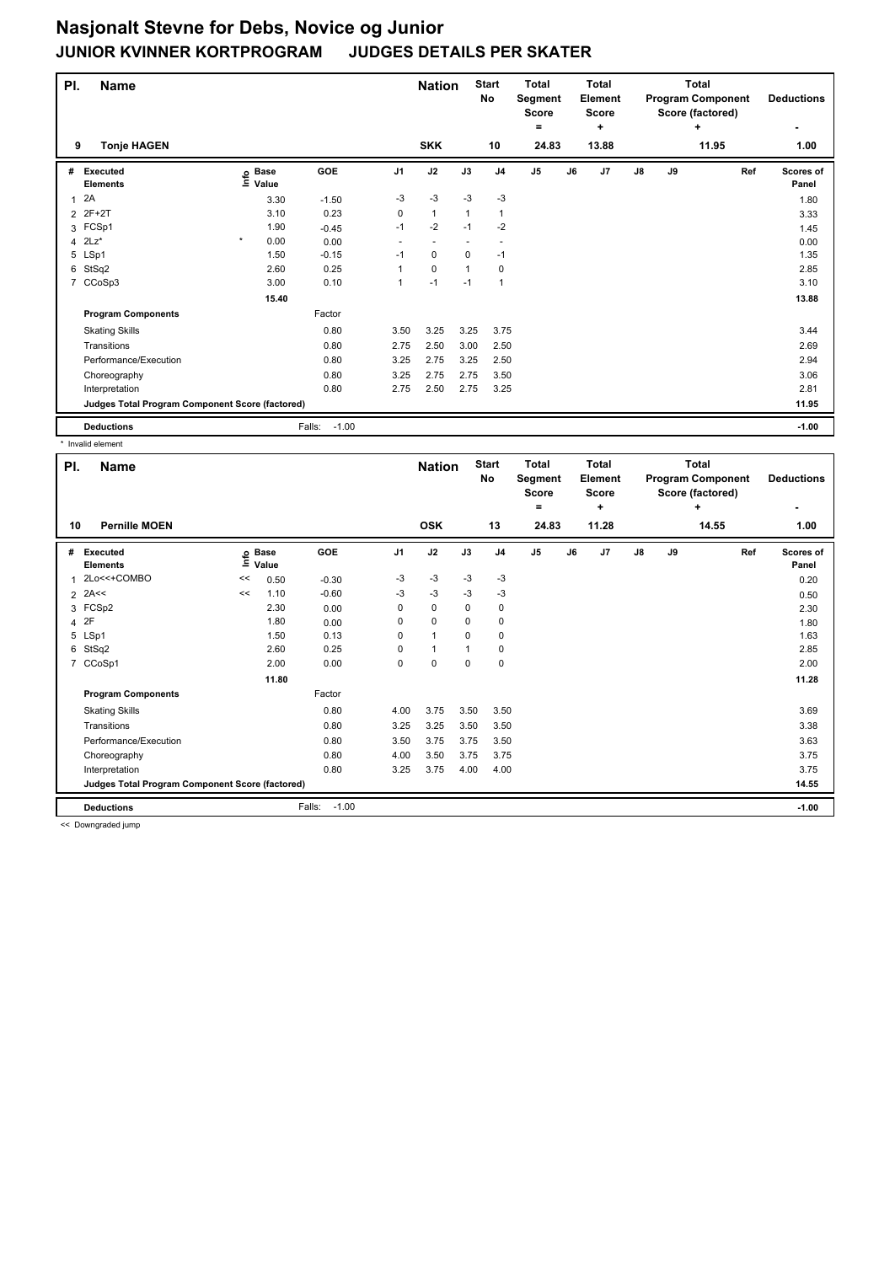| PI.          | <b>Name</b>                                     |                   |                   |      | <b>Nation</b> |          | <b>Start</b><br>No | <b>Total</b><br>Segment<br>Score<br>۰ |    | <b>Total</b><br>Element<br><b>Score</b><br>÷ |    |    | <b>Total</b><br><b>Program Component</b><br>Score (factored)<br>÷ | <b>Deductions</b>  |
|--------------|-------------------------------------------------|-------------------|-------------------|------|---------------|----------|--------------------|---------------------------------------|----|----------------------------------------------|----|----|-------------------------------------------------------------------|--------------------|
| 9            | <b>Tonje HAGEN</b>                              |                   |                   |      | <b>SKK</b>    |          | 10                 | 24.83                                 |    | 13.88                                        |    |    | 11.95                                                             | 1.00               |
| #            | <b>Executed</b><br><b>Elements</b>              | e Base<br>⊑ Value | GOE               | J1   | J2            | J3       | J <sub>4</sub>     | J <sub>5</sub>                        | J6 | J <sub>7</sub>                               | J8 | J9 | Ref                                                               | Scores of<br>Panel |
| $\mathbf{1}$ | 2A                                              | 3.30              | $-1.50$           | $-3$ | $-3$          | $-3$     | $-3$               |                                       |    |                                              |    |    |                                                                   | 1.80               |
|              | 2 2F+2T                                         | 3.10              | 0.23              | 0    | $\mathbf{1}$  | 1        | 1                  |                                       |    |                                              |    |    |                                                                   | 3.33               |
|              | 3 FCSp1                                         | 1.90              | $-0.45$           | $-1$ | $-2$          | $-1$     | $-2$               |                                       |    |                                              |    |    |                                                                   | 1.45               |
|              | 4 $2Lz^*$                                       | $\star$<br>0.00   | 0.00              |      |               |          |                    |                                       |    |                                              |    |    |                                                                   | 0.00               |
|              | 5 LSp1                                          | 1.50              | $-0.15$           | $-1$ | 0             | $\Omega$ | $-1$               |                                       |    |                                              |    |    |                                                                   | 1.35               |
| 6            | StSq2                                           | 2.60              | 0.25              |      | $\mathbf 0$   |          | 0                  |                                       |    |                                              |    |    |                                                                   | 2.85               |
|              | 7 CCoSp3                                        | 3.00              | 0.10              |      | $-1$          | $-1$     | $\mathbf{1}$       |                                       |    |                                              |    |    |                                                                   | 3.10               |
|              |                                                 | 15.40             |                   |      |               |          |                    |                                       |    |                                              |    |    |                                                                   | 13.88              |
|              | <b>Program Components</b>                       |                   | Factor            |      |               |          |                    |                                       |    |                                              |    |    |                                                                   |                    |
|              | <b>Skating Skills</b>                           |                   | 0.80              | 3.50 | 3.25          | 3.25     | 3.75               |                                       |    |                                              |    |    |                                                                   | 3.44               |
|              | Transitions                                     |                   | 0.80              | 2.75 | 2.50          | 3.00     | 2.50               |                                       |    |                                              |    |    |                                                                   | 2.69               |
|              | Performance/Execution                           |                   | 0.80              | 3.25 | 2.75          | 3.25     | 2.50               |                                       |    |                                              |    |    |                                                                   | 2.94               |
|              | Choreography                                    |                   | 0.80              | 3.25 | 2.75          | 2.75     | 3.50               |                                       |    |                                              |    |    |                                                                   | 3.06               |
|              | Interpretation                                  |                   | 0.80              | 2.75 | 2.50          | 2.75     | 3.25               |                                       |    |                                              |    |    |                                                                   | 2.81               |
|              | Judges Total Program Component Score (factored) |                   |                   |      |               |          |                    |                                       |    |                                              |    |    |                                                                   | 11.95              |
|              | <b>Deductions</b>                               |                   | $-1.00$<br>Falls: |      |               |          |                    |                                       |    |                                              |    |    |                                                                   | $-1.00$            |

\* Invalid element

| PI.<br><b>Name</b> |                                                 |      |                      |                   |                | <b>Nation</b> |             | <b>Start</b><br>No | <b>Total</b><br>Segment<br><b>Score</b> |    | <b>Total</b><br><b>Element</b><br><b>Score</b> |               |    | <b>Total</b><br><b>Program Component</b><br>Score (factored) | <b>Deductions</b>  |
|--------------------|-------------------------------------------------|------|----------------------|-------------------|----------------|---------------|-------------|--------------------|-----------------------------------------|----|------------------------------------------------|---------------|----|--------------------------------------------------------------|--------------------|
| 10                 | <b>Pernille MOEN</b>                            |      |                      |                   |                | <b>OSK</b>    |             | 13                 | =<br>24.83                              |    | $\ddot{}$<br>11.28                             |               |    | ÷<br>14.55                                                   | 1.00               |
| #                  | <b>Executed</b><br><b>Elements</b>              | ١nfo | <b>Base</b><br>Value | GOE               | J <sub>1</sub> | J2            | J3          | J <sub>4</sub>     | J <sub>5</sub>                          | J6 | J7                                             | $\mathsf{J}8$ | J9 | Ref                                                          | Scores of<br>Panel |
|                    | 2Lo<<+COMBO                                     | <<   | 0.50                 | $-0.30$           | $-3$           | $-3$          | $-3$        | $-3$               |                                         |    |                                                |               |    |                                                              | 0.20               |
|                    | $2$ 2A<<                                        | <<   | 1.10                 | $-0.60$           | $-3$           | $-3$          | $-3$        | $-3$               |                                         |    |                                                |               |    |                                                              | 0.50               |
|                    | 3 FCSp2                                         |      | 2.30                 | 0.00              | 0              | $\mathbf 0$   | $\Omega$    | $\mathbf 0$        |                                         |    |                                                |               |    |                                                              | 2.30               |
|                    | 4 2F                                            |      | 1.80                 | 0.00              | 0              | $\mathbf 0$   | 0           | 0                  |                                         |    |                                                |               |    |                                                              | 1.80               |
|                    | 5 LSp1                                          |      | 1.50                 | 0.13              | 0              | 1             | $\Omega$    | $\mathbf 0$        |                                         |    |                                                |               |    |                                                              | 1.63               |
| 6                  | StSq2                                           |      | 2.60                 | 0.25              | 0              | 1             |             | 0                  |                                         |    |                                                |               |    |                                                              | 2.85               |
| 7                  | CCoSp1                                          |      | 2.00                 | 0.00              | 0              | $\mathbf 0$   | $\mathbf 0$ | $\pmb{0}$          |                                         |    |                                                |               |    |                                                              | 2.00               |
|                    |                                                 |      | 11.80                |                   |                |               |             |                    |                                         |    |                                                |               |    |                                                              | 11.28              |
|                    | <b>Program Components</b>                       |      |                      | Factor            |                |               |             |                    |                                         |    |                                                |               |    |                                                              |                    |
|                    | <b>Skating Skills</b>                           |      |                      | 0.80              | 4.00           | 3.75          | 3.50        | 3.50               |                                         |    |                                                |               |    |                                                              | 3.69               |
|                    | Transitions                                     |      |                      | 0.80              | 3.25           | 3.25          | 3.50        | 3.50               |                                         |    |                                                |               |    |                                                              | 3.38               |
|                    | Performance/Execution                           |      |                      | 0.80              | 3.50           | 3.75          | 3.75        | 3.50               |                                         |    |                                                |               |    |                                                              | 3.63               |
|                    | Choreography                                    |      |                      | 0.80              | 4.00           | 3.50          | 3.75        | 3.75               |                                         |    |                                                |               |    |                                                              | 3.75               |
|                    | Interpretation                                  |      |                      | 0.80              | 3.25           | 3.75          | 4.00        | 4.00               |                                         |    |                                                |               |    |                                                              | 3.75               |
|                    | Judges Total Program Component Score (factored) |      |                      |                   |                |               |             |                    |                                         |    |                                                |               |    |                                                              | 14.55              |
|                    | <b>Deductions</b>                               |      |                      | $-1.00$<br>Falls: |                |               |             |                    |                                         |    |                                                |               |    |                                                              | $-1.00$            |

<< Downgraded jump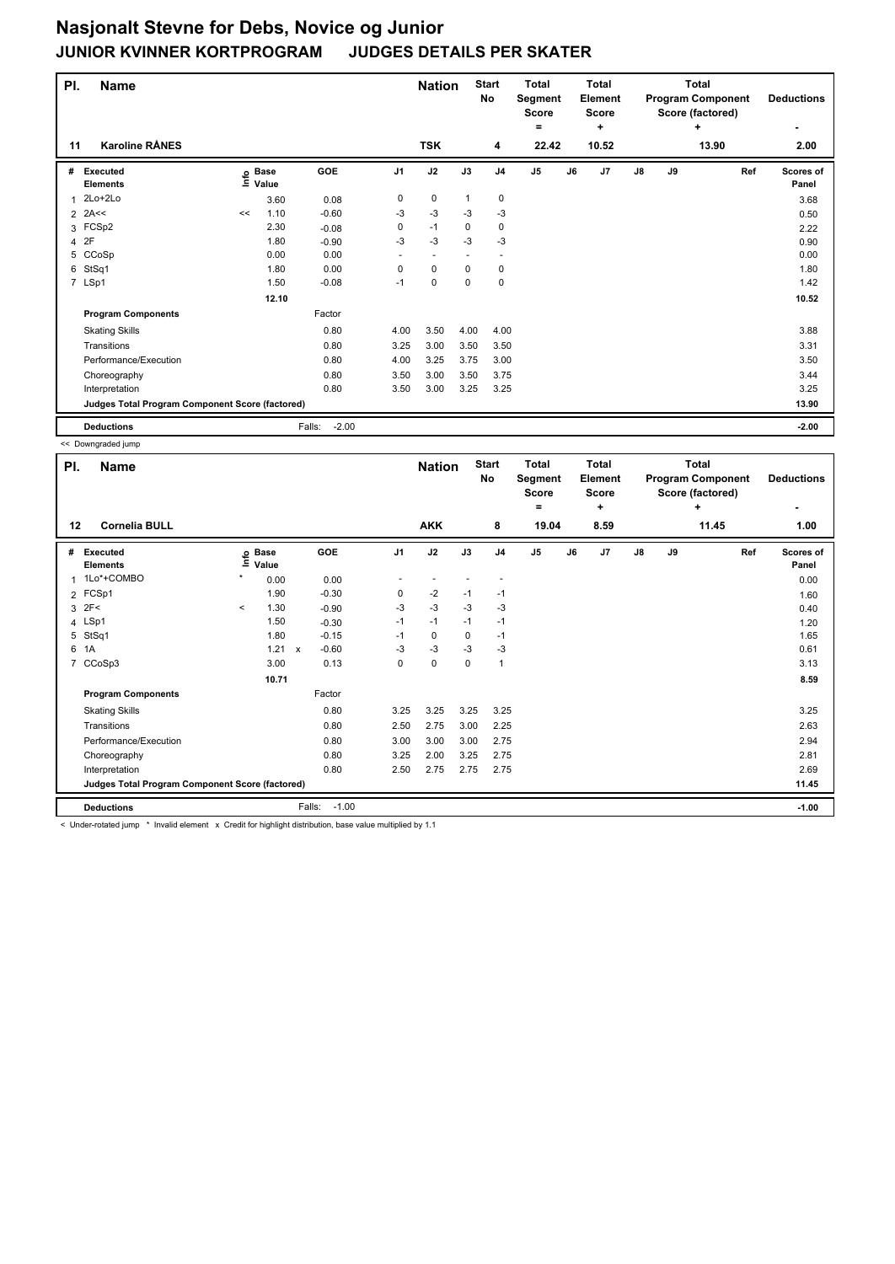| PI. | <b>Name</b>                                     |    |                            |                   |      | <b>Nation</b> |          | <b>Start</b><br>No       | <b>Total</b><br>Segment<br>Score<br>۰ |    | <b>Total</b><br>Element<br><b>Score</b><br>٠ |    |    | <b>Total</b><br><b>Program Component</b><br>Score (factored)<br>÷ | <b>Deductions</b>  |
|-----|-------------------------------------------------|----|----------------------------|-------------------|------|---------------|----------|--------------------------|---------------------------------------|----|----------------------------------------------|----|----|-------------------------------------------------------------------|--------------------|
| 11  | <b>Karoline RÅNES</b>                           |    |                            |                   |      | <b>TSK</b>    |          | 4                        | 22.42                                 |    | 10.52                                        |    |    | 13.90                                                             | 2.00               |
| #   | Executed<br><b>Elements</b>                     |    | e Base<br>E Value<br>Value | GOE               | J1   | J2            | J3       | J <sub>4</sub>           | J <sub>5</sub>                        | J6 | J <sub>7</sub>                               | J8 | J9 | Ref                                                               | Scores of<br>Panel |
| 1   | 2Lo+2Lo                                         |    | 3.60                       | 0.08              | 0    | 0             | 1        | 0                        |                                       |    |                                              |    |    |                                                                   | 3.68               |
|     | $2$ 2A<<                                        | << | 1.10                       | $-0.60$           | $-3$ | $-3$          | $-3$     | $-3$                     |                                       |    |                                              |    |    |                                                                   | 0.50               |
|     | 3 FCSp2                                         |    | 2.30                       | $-0.08$           | 0    | $-1$          | 0        | 0                        |                                       |    |                                              |    |    |                                                                   | 2.22               |
|     | 4 2F                                            |    | 1.80                       | $-0.90$           | $-3$ | $-3$          | $-3$     | $-3$                     |                                       |    |                                              |    |    |                                                                   | 0.90               |
| 5   | CCoSp                                           |    | 0.00                       | 0.00              | ٠    | $\sim$        |          | $\overline{\phantom{a}}$ |                                       |    |                                              |    |    |                                                                   | 0.00               |
| 6   | StSq1                                           |    | 1.80                       | 0.00              | 0    | $\mathbf 0$   | $\Omega$ | 0                        |                                       |    |                                              |    |    |                                                                   | 1.80               |
|     | 7 LSp1                                          |    | 1.50                       | $-0.08$           | $-1$ | $\mathbf 0$   | $\Omega$ | 0                        |                                       |    |                                              |    |    |                                                                   | 1.42               |
|     |                                                 |    | 12.10                      |                   |      |               |          |                          |                                       |    |                                              |    |    |                                                                   | 10.52              |
|     | <b>Program Components</b>                       |    |                            | Factor            |      |               |          |                          |                                       |    |                                              |    |    |                                                                   |                    |
|     | <b>Skating Skills</b>                           |    |                            | 0.80              | 4.00 | 3.50          | 4.00     | 4.00                     |                                       |    |                                              |    |    |                                                                   | 3.88               |
|     | Transitions                                     |    |                            | 0.80              | 3.25 | 3.00          | 3.50     | 3.50                     |                                       |    |                                              |    |    |                                                                   | 3.31               |
|     | Performance/Execution                           |    |                            | 0.80              | 4.00 | 3.25          | 3.75     | 3.00                     |                                       |    |                                              |    |    |                                                                   | 3.50               |
|     | Choreography                                    |    |                            | 0.80              | 3.50 | 3.00          | 3.50     | 3.75                     |                                       |    |                                              |    |    |                                                                   | 3.44               |
|     | Interpretation                                  |    |                            | 0.80              | 3.50 | 3.00          | 3.25     | 3.25                     |                                       |    |                                              |    |    |                                                                   | 3.25               |
|     | Judges Total Program Component Score (factored) |    |                            |                   |      |               |          |                          |                                       |    |                                              |    |    |                                                                   | 13.90              |
|     | <b>Deductions</b>                               |    |                            | $-2.00$<br>Falls: |      |               |          |                          |                                       |    |                                              |    |    |                                                                   | $-2.00$            |

<< Downgraded jump

| PI.            | <b>Name</b>                                     |          |                            |                                      |                | <b>Nation</b> |      | <b>Start</b><br>No | <b>Total</b><br>Segment<br>Score<br>= |    | <b>Total</b><br>Element<br><b>Score</b><br>÷ | <b>Total</b><br><b>Program Component</b><br>Score (factored)<br>٠<br>11.45 |    |     | <b>Deductions</b>         |
|----------------|-------------------------------------------------|----------|----------------------------|--------------------------------------|----------------|---------------|------|--------------------|---------------------------------------|----|----------------------------------------------|----------------------------------------------------------------------------|----|-----|---------------------------|
| 12             | <b>Cornelia BULL</b>                            |          |                            |                                      |                | <b>AKK</b>    |      | 8                  | 19.04                                 |    | 8.59                                         |                                                                            |    |     | 1.00                      |
| #              | <b>Executed</b><br><b>Elements</b>              |          | e Base<br>≡ Value<br>Value | GOE                                  | J <sub>1</sub> | J2            | J3   | J <sub>4</sub>     | J5                                    | J6 | J7                                           | $\mathsf{J}8$                                                              | J9 | Ref | <b>Scores of</b><br>Panel |
| 1              | 1Lo*+COMBO                                      | $\star$  | 0.00                       | 0.00                                 |                |               |      |                    |                                       |    |                                              |                                                                            |    |     | 0.00                      |
|                | 2 FCSp1                                         |          | 1.90                       | $-0.30$                              | 0              | $-2$          | $-1$ | $-1$               |                                       |    |                                              |                                                                            |    |     | 1.60                      |
| 3              | 2F<                                             | $\hat{}$ | 1.30                       | $-0.90$                              | -3             | $-3$          | $-3$ | $-3$               |                                       |    |                                              |                                                                            |    |     | 0.40                      |
|                | 4 LSp1                                          |          | 1.50                       | $-0.30$                              | $-1$           | $-1$          | $-1$ | $-1$               |                                       |    |                                              |                                                                            |    |     | 1.20                      |
| 5              | StSq1                                           |          | 1.80                       | $-0.15$                              | $-1$           | 0             | 0    | $-1$               |                                       |    |                                              |                                                                            |    |     | 1.65                      |
| 6              | 1A                                              |          | 1.21                       | $-0.60$<br>$\boldsymbol{\mathsf{x}}$ | $-3$           | $-3$          | $-3$ | $-3$               |                                       |    |                                              |                                                                            |    |     | 0.61                      |
| $\overline{7}$ | CCoSp3                                          |          | 3.00                       | 0.13                                 | 0              | $\pmb{0}$     | 0    | $\mathbf{1}$       |                                       |    |                                              |                                                                            |    |     | 3.13                      |
|                |                                                 |          | 10.71                      |                                      |                |               |      |                    |                                       |    |                                              |                                                                            |    |     | 8.59                      |
|                | <b>Program Components</b>                       |          |                            | Factor                               |                |               |      |                    |                                       |    |                                              |                                                                            |    |     |                           |
|                | <b>Skating Skills</b>                           |          |                            | 0.80                                 | 3.25           | 3.25          | 3.25 | 3.25               |                                       |    |                                              |                                                                            |    |     | 3.25                      |
|                | Transitions                                     |          |                            | 0.80                                 | 2.50           | 2.75          | 3.00 | 2.25               |                                       |    |                                              |                                                                            |    |     | 2.63                      |
|                | Performance/Execution                           |          |                            | 0.80                                 | 3.00           | 3.00          | 3.00 | 2.75               |                                       |    |                                              |                                                                            |    |     | 2.94                      |
|                | Choreography                                    |          |                            | 0.80                                 | 3.25           | 2.00          | 3.25 | 2.75               |                                       |    |                                              |                                                                            |    |     | 2.81                      |
|                | Interpretation                                  |          |                            | 0.80                                 | 2.50           | 2.75          | 2.75 | 2.75               |                                       |    |                                              |                                                                            |    |     | 2.69                      |
|                | Judges Total Program Component Score (factored) |          |                            |                                      |                |               |      |                    |                                       |    |                                              |                                                                            |    |     | 11.45                     |
|                | <b>Deductions</b>                               |          |                            | $-1.00$<br>Falls:                    |                |               |      |                    |                                       |    |                                              |                                                                            |    |     | $-1.00$                   |

< Under-rotated jump \* Invalid element x Credit for highlight distribution, base value multiplied by 1.1